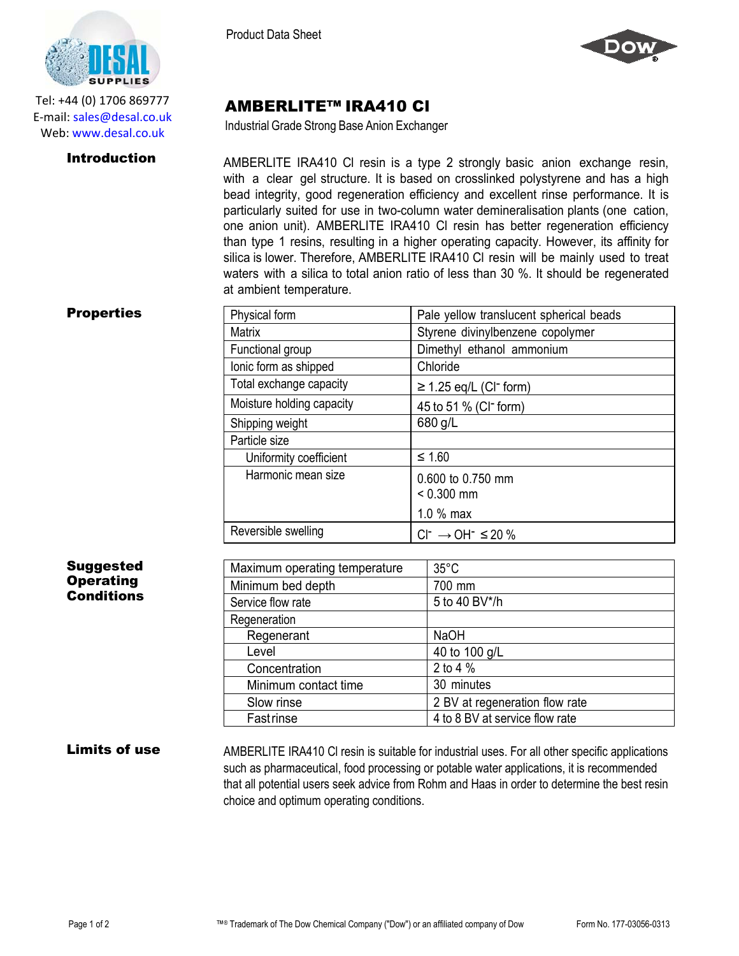

Tel: +44 (0) 1706 869777 E‐mail: sales@desal.co.uk Web: www.desal.co.uk

Product Data Sheet



# AMBERLITE™ IRA410 Cl

Industrial Grade Strong Base Anion Exchanger

**Introduction** AMBERLITE IRA410 CI resin is a type 2 strongly basic anion exchange resin, with a clear gel structure. It is based on crosslinked polystyrene and has a high bead integrity, good regeneration efficiency and excellent rinse performance. It is particularly suited for use in two-column water demineralisation plants (one cation, one anion unit). AMBERLITE IRA410 Cl resin has better regeneration efficiency than type 1 resins, resulting in a higher operating capacity. However, its affinity for silica is lower. Therefore, AMBERLITE IRA410 Cl resin will be mainly used to treat waters with a silica to total anion ratio of less than 30 %. It should be regenerated at ambient temperature.

| <b>Properties</b> |  |
|-------------------|--|
|-------------------|--|

| <b>Properties</b> | Physical form             | Pale yellow translucent spherical beads |
|-------------------|---------------------------|-----------------------------------------|
|                   | <b>Matrix</b>             | Styrene divinylbenzene copolymer        |
|                   | Functional group          | Dimethyl ethanol ammonium               |
|                   | lonic form as shipped     | Chloride                                |
|                   | Total exchange capacity   | $\geq$ 1.25 eq/L (CI <sup>-</sup> form) |
|                   | Moisture holding capacity | 45 to 51 % (CI <sup>-</sup> form)       |
|                   | Shipping weight           | 680 g/L                                 |
|                   | Particle size             |                                         |
|                   | Uniformity coefficient    | $\leq 1.60$                             |
|                   | Harmonic mean size        | 0.600 to 0.750 mm<br>$< 0.300$ mm       |
|                   |                           | $1.0%$ max                              |
|                   | Reversible swelling       | $Cl^{-} \rightarrow OH^{-} \leq 20\%$   |

# **Suggested Operating Conditions**

| Maximum operating temperature | $35^{\circ}$ C                 |
|-------------------------------|--------------------------------|
| Minimum bed depth             | 700 mm                         |
| Service flow rate             | 5 to 40 BV*/h                  |
| Regeneration                  |                                |
| Regenerant                    | <b>NaOH</b>                    |
| Level                         | 40 to 100 g/L                  |
| Concentration                 | 2 to 4 %                       |
| Minimum contact time          | 30 minutes                     |
| Slow rinse                    | 2 BV at regeneration flow rate |
| Fastrinse                     | 4 to 8 BV at service flow rate |

Limits of use AMBERLITE IRA410 CI resin is suitable for industrial uses. For all other specific applications such as pharmaceutical, food processing or potable water applications, it is recommended that all potential users seek advice from Rohm and Haas in order to determine the best resin choice and optimum operating conditions.